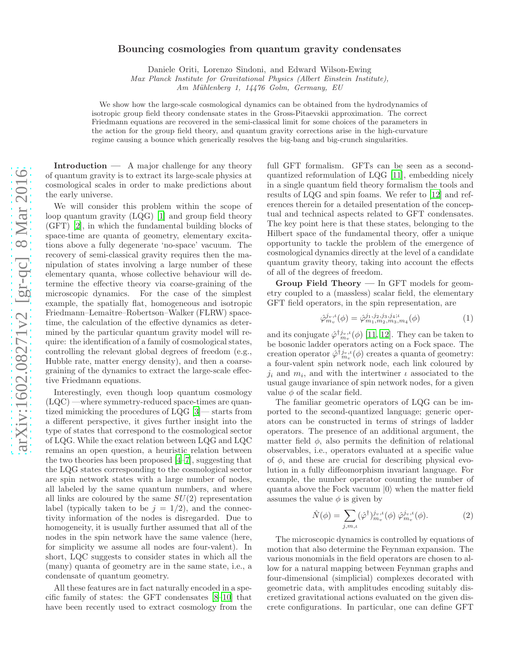## Bouncing cosmologies from quantum gravity condensates

Daniele Oriti, Lorenzo Sindoni, and Edward Wilson-Ewing

Max Planck Institute for Gravitational Physics (Albert Einstein Institute),

Am Mühlenberg 1, 14476 Golm, Germany, EU

We show how the large-scale cosmological dynamics can be obtained from the hydrodynamics of isotropic group field theory condensate states in the Gross-Pitaevskii approximation. The correct Friedmann equations are recovered in the semi-classical limit for some choices of the parameters in the action for the group field theory, and quantum gravity corrections arise in the high-curvature regime causing a bounce which generically resolves the big-bang and big-crunch singularities.

Introduction — A major challenge for any theory of quantum gravity is to extract its large-scale physics at cosmological scales in order to make predictions about the early universe.

We will consider this problem within the scope of loop quantum gravity (LQG) [\[1](#page-3-0)] and group field theory (GFT) [\[2\]](#page-3-1), in which the fundamental building blocks of space-time are quanta of geometry, elementary excitations above a fully degenerate 'no-space' vacuum. The recovery of semi-classical gravity requires then the manipulation of states involving a large number of these elementary quanta, whose collective behaviour will determine the effective theory via coarse-graining of the microscopic dynamics. For the case of the simplest example, the spatially flat, homogeneous and isotropic Friedmann–Lemaître–Robertson–Walker (FLRW) spacetime, the calculation of the effective dynamics as determined by the particular quantum gravity model will require: the identification of a family of cosmological states, controlling the relevant global degrees of freedom (e.g., Hubble rate, matter energy density), and then a coarsegraining of the dynamics to extract the large-scale effective Friedmann equations.

Interestingly, even though loop quantum cosmology (LQC) —where symmetry-reduced space-times are quantized mimicking the procedures of LQG [\[3\]](#page-3-2)— starts from a different perspective, it gives further insight into the type of states that correspond to the cosmological sector of LQG. While the exact relation between LQG and LQC remains an open question, a heuristic relation between the two theories has been proposed [\[4](#page-3-3)[–7\]](#page-3-4), suggesting that the LQG states corresponding to the cosmological sector are spin network states with a large number of nodes, all labeled by the same quantum numbers, and where all links are coloured by the same  $SU(2)$  representation label (typically taken to be  $j = 1/2$ ), and the connectivity information of the nodes is disregarded. Due to homogeneity, it is usually further assumed that all of the nodes in the spin network have the same valence (here, for simplicity we assume all nodes are four-valent). In short, LQC suggests to consider states in which all the (many) quanta of geometry are in the same state, i.e., a condensate of quantum geometry.

All these features are in fact naturally encoded in a specific family of states: the GFT condensates [\[8](#page-3-5)[–10\]](#page-3-6) that have been recently used to extract cosmology from the

full GFT formalism. GFTs can be seen as a secondquantized reformulation of LQG [\[11](#page-3-7)], embedding nicely in a single quantum field theory formalism the tools and results of LQG and spin foams. We refer to [\[12](#page-3-8)] and references therein for a detailed presentation of the conceptual and technical aspects related to GFT condensates. The key point here is that these states, belonging to the Hilbert space of the fundamental theory, offer a unique opportunity to tackle the problem of the emergence of cosmological dynamics directly at the level of a candidate quantum gravity theory, taking into account the effects of all of the degrees of freedom.

Group Field Theory  $-$  In GFT models for geometry coupled to a (massless) scalar field, the elementary GFT field operators, in the spin representation, are

$$
\hat{\varphi}_{m_v}^{j_v,\iota}(\phi) = \hat{\varphi}_{m_1, m_2, m_3, m_4}^{j_1, j_2, j_3, j_4; \iota}(\phi)
$$
\n(1)

and its conjugate  $\hat{\varphi}^{\dagger}{}_{m_v}^{j_v,\iota}(\phi)$  [\[11](#page-3-7), [12\]](#page-3-8). They can be taken to be bosonic ladder operators acting on a Fock space. The creation operator  $\hat{\varphi}^{\dagger j_v,\iota}_{m_v}(\phi)$  creates a quanta of geometry: a four-valent spin network node, each link coloured by  $j_i$  and  $m_i$ , and with the intertwiner  $\iota$  associated to the usual gauge invariance of spin network nodes, for a given value  $\phi$  of the scalar field.

The familiar geometric operators of LQG can be imported to the second-quantized language; generic operators can be constructed in terms of strings of ladder operators. The presence of an additional argument, the matter field  $\phi$ , also permits the definition of relational observables, i.e., operators evaluated at a specific value of  $\phi$ , and these are crucial for describing physical evolution in a fully diffeomorphism invariant language. For example, the number operator counting the number of quanta above the Fock vacuum  $|0\rangle$  when the matter field assumes the value  $\phi$  is given by

$$
\hat{N}(\phi) = \sum_{j,m,\iota} (\hat{\varphi}^{\dagger})^{j_{v,\iota}}_{m_v}(\phi) \; \hat{\varphi}^{j_{v,\iota}}_{m_v}(\phi). \tag{2}
$$

The microscopic dynamics is controlled by equations of motion that also determine the Feynman expansion. The various monomials in the field operators are chosen to allow for a natural mapping between Feynman graphs and four-dimensional (simplicial) complexes decorated with geometric data, with amplitudes encoding suitably discretized gravitational actions evaluated on the given discrete configurations. In particular, one can define GFT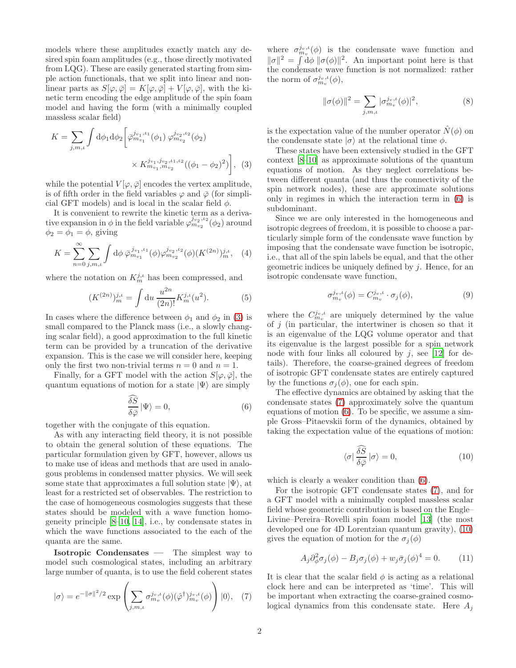models where these amplitudes exactly match any desired spin foam amplitudes (e.g., those directly motivated from LQG). These are easily generated starting from simple action functionals, that we split into linear and nonlinear parts as  $S[\varphi, \bar{\varphi}] = K[\varphi, \bar{\varphi}] + V[\varphi, \bar{\varphi}]$ , with the kinetic term encoding the edge amplitude of the spin foam model and having the form (with a minimally coupled massless scalar field)

$$
K = \sum_{j,m,\iota} \int d\phi_1 d\phi_2 \left[ \bar{\varphi}_{m_{v_1}}^{j_{v_1,\iota_1}}(\phi_1) \, \varphi_{m_{v_2}}^{j_{v_2,\iota_2}}(\phi_2) \times K_{m_{v_1},m_{v_2}}^{j_{v_1,j_{v_2},\iota_1,\iota_2}}((\phi_1 - \phi_2)^2) \right], \tag{3}
$$

while the potential  $V[\varphi,\bar{\varphi}]$  encodes the vertex amplitude. is of fifth order in the field variables  $\varphi$  and  $\bar{\varphi}$  (for simplicial GFT models) and is local in the scalar field  $\phi$ .

It is convenient to rewrite the kinetic term as a derivative expansion in  $\phi$  in the field variable  $\varphi_{m_{v_2}}^{j_{v_2},\iota_2}(\phi_2)$  around  $\phi_2 = \phi_1 = \phi$ , giving

$$
K = \sum_{n=0}^{\infty} \sum_{j,m,\iota} \int d\phi \, \bar{\varphi}_{m_{v_1}}^{j_{v_1},l_1}(\phi) \varphi_{m_{v_2}}^{j_{v_2},l_2}(\phi) (K^{(2n)})_m^{j,\iota}, \quad (4)
$$

where the notation on  $K_m^{j,\iota}$  has been compressed, and

$$
(K^{(2n)})_m^{j,\iota} = \int \mathrm{d}u \, \frac{u^{2n}}{(2n)!} K_m^{j,\iota}(u^2). \tag{5}
$$

In cases where the difference between  $\phi_1$  and  $\phi_2$  in [\(3\)](#page-1-0) is small compared to the Planck mass (i.e., a slowly changing scalar field), a good approximation to the full kinetic term can be provided by a truncation of the derivative expansion. This is the case we will consider here, keeping only the first two non-trivial terms  $n = 0$  and  $n = 1$ .

Finally, for a GFT model with the action  $S[\varphi, \bar{\varphi}]$ , the quantum equations of motion for a state  $|\Psi\rangle$  are simply

<span id="page-1-1"></span>
$$
\frac{\widehat{\delta S}}{\delta \bar{\varphi}} \left| \Psi \right\rangle = 0,\tag{6}
$$

together with the conjugate of this equation.

As with any interacting field theory, it is not possible to obtain the general solution of these equations. The particular formulation given by GFT, however, allows us to make use of ideas and methods that are used in analogous problems in condensed matter physics. We will seek some state that approximates a full solution state  $|\Psi\rangle$ , at least for a restricted set of observables. The restriction to the case of homogeneous cosmologies suggests that these states should be modeled with a wave function homogeneity principle [\[8](#page-3-5)[–10,](#page-3-6) [14\]](#page-3-9), i.e., by condensate states in which the wave functions associated to the each of the quanta are the same.

Isotropic Condensates — The simplest way to model such cosmological states, including an arbitrary large number of quanta, is to use the field coherent states

<span id="page-1-2"></span>
$$
|\sigma\rangle = e^{-\|\sigma\|^2/2} \exp\left(\sum_{j,m,\iota} \sigma_{m_{\nu}}^{j_{\nu},\iota}(\phi)(\hat{\varphi}^{\dagger})_{m_{\nu}}^{j_{\nu},\iota}(\phi)\right)|0\rangle, \quad (7)
$$

where  $\sigma_{m_v}^{j_v,\nu}(\phi)$  is the condensate wave function and  $\|\sigma\|^2 = \int d\phi \, \|\sigma(\phi)\|^2$ . An important point here is that the condensate wave function is not normalized: rather the norm of  $\sigma_{m_v}^{j_v,\iota}(\phi)$ ,

$$
\|\sigma(\phi)\|^2 = \sum_{j,m,\iota} |\sigma_{m_v}^{j_v,\iota}(\phi)|^2,
$$
 (8)

is the expectation value of the number operator  $\hat{N}(\phi)$  on the condensate state  $|\sigma\rangle$  at the relational time  $\phi$ .

<span id="page-1-0"></span>These states have been extensively studied in the GFT context [\[8–](#page-3-5)[10\]](#page-3-6) as approximate solutions of the quantum equations of motion. As they neglect correlations between different quanta (and thus the connectivity of the spin network nodes), these are approximate solutions only in regimes in which the interaction term in [\(6\)](#page-1-1) is subdominant.

Since we are only interested in the homogeneous and isotropic degrees of freedom, it is possible to choose a particularly simple form of the condensate wave function by imposing that the condensate wave function be isotropic, i.e., that all of the spin labels be equal, and that the other geometric indices be uniquely defined by  $j$ . Hence, for an isotropic condensate wave function,

$$
\sigma_{m_v}^{j_v,\iota}(\phi) = C_{m_v}^{j_v,\iota} \cdot \sigma_j(\phi),\tag{9}
$$

where the  $C_{m_v}^{j_v,\iota}$  are uniquely determined by the value of  $j$  (in particular, the intertwiner is chosen so that it is an eigenvalue of the LQG volume operator and that its eigenvalue is the largest possible for a spin network node with four links all coloured by  $i$ , see [\[12](#page-3-8)] for details). Therefore, the coarse-grained degrees of freedom of isotropic GFT condensate states are entirely captured by the functions  $\sigma_i(\phi)$ , one for each spin.

The effective dynamics are obtained by asking that the condensate states [\(7\)](#page-1-2) approximately solve the quantum equations of motion [\(6\)](#page-1-1). To be specific, we assume a simple Gross–Pitaevskii form of the dynamics, obtained by taking the expectation value of the equations of motion:

<span id="page-1-3"></span>
$$
\langle \sigma | \frac{\widehat{\delta S}}{\delta \bar{\varphi}} | \sigma \rangle = 0, \qquad (10)
$$

which is clearly a weaker condition than [\(6\)](#page-1-1).

For the isotropic GFT condensate states [\(7\)](#page-1-2), and for a GFT model with a minimally coupled massless scalar field whose geometric contribution is based on the Engle– Livine–Pereira–Rovelli spin foam model [\[13](#page-3-10)] (the most developed one for 4D Lorentzian quantum gravity), [\(10\)](#page-1-3) gives the equation of motion for the  $\sigma_i(\phi)$ 

<span id="page-1-4"></span>
$$
A_j \partial_{\phi}^2 \sigma_j(\phi) - B_j \sigma_j(\phi) + w_j \bar{\sigma}_j(\phi)^4 = 0.
$$
 (11)

It is clear that the scalar field  $\phi$  is acting as a relational clock here and can be interpreted as 'time'. This will be important when extracting the coarse-grained cosmological dynamics from this condensate state. Here  $A_i$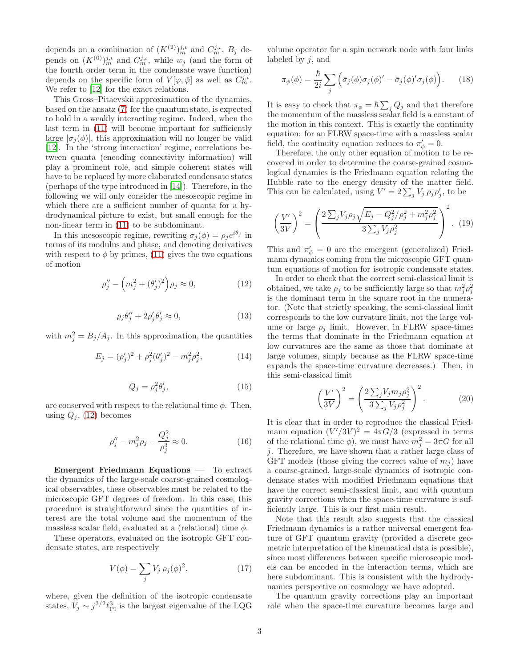depends on a combination of  $(K^{(2)})_m^{j,\iota}$  and  $C_m^{j,\iota}$ ,  $B_j$  depends on  $(K^{(0)})^{j,\iota}_m$  and  $C^{j,\iota}_m$ , while  $w_j$  (and the form of the fourth order term in the condensate wave function) depends on the specific form of  $V[\varphi,\bar{\varphi}]$  as well as  $C_m^{j,l}$ . We refer to [\[12](#page-3-8)] for the exact relations.

This Gross–Pitaevskii approximation of the dynamics, based on the ansatz [\(7\)](#page-1-2) for the quantum state, is expected to hold in a weakly interacting regime. Indeed, when the last term in  $(11)$  will become important for sufficiently large  $|\sigma_i(\phi)|$ , this approximation will no longer be valid [\[12\]](#page-3-8). In the 'strong interaction' regime, correlations between quanta (encoding connectivity information) will play a prominent role, and simple coherent states will have to be replaced by more elaborated condensate states (perhaps of the type introduced in [\[14](#page-3-9)]). Therefore, in the following we will only consider the mesoscopic regime in which there are a sufficient number of quanta for a hydrodynamical picture to exist, but small enough for the non-linear term in [\(11\)](#page-1-4) to be subdominant.

In this mesoscopic regime, rewriting  $\sigma_j(\phi) = \rho_j e^{i\theta_j}$  in terms of its modulus and phase, and denoting derivatives with respect to  $\phi$  by primes, [\(11\)](#page-1-4) gives the two equations of motion

<span id="page-2-0"></span>
$$
\rho_j'' - \left(m_j^2 + (\theta_j')^2\right)\rho_j \approx 0,\tag{12}
$$

$$
\rho_j \theta_j'' + 2\rho_j' \theta_j' \approx 0,\tag{13}
$$

with  $m_j^2 = B_j/A_j$ . In this approximation, the quantities

$$
E_j = (\rho'_j)^2 + \rho_j^2 (\theta'_j)^2 - m_j^2 \rho_j^2, \qquad (14)
$$

$$
Q_j = \rho_j^2 \theta_j',\tag{15}
$$

are conserved with respect to the relational time  $\phi$ . Then, using  $Q_j$ , [\(12\)](#page-2-0) becomes

<span id="page-2-1"></span>
$$
\rho_j'' - m_j^2 \rho_j - \frac{Q_j^2}{\rho_j^3} \approx 0.
$$
\n(16)

Emergent Friedmann Equations — To extract the dynamics of the large-scale coarse-grained cosmological observables, these observables must be related to the microscopic GFT degrees of freedom. In this case, this procedure is straightforward since the quantities of interest are the total volume and the momentum of the massless scalar field, evaluated at a (relational) time  $\phi$ .

These operators, evaluated on the isotropic GFT condensate states, are respectively

$$
V(\phi) = \sum_{j} V_j \,\rho_j(\phi)^2,\tag{17}
$$

where, given the definition of the isotropic condensate states,  $V_j \sim j^{3/2} \ell_{\rm Pl}^3$  is the largest eigenvalue of the LQG

volume operator for a spin network node with four links labeled by  $j$ , and

$$
\pi_{\phi}(\phi) = \frac{\hbar}{2i} \sum_{j} \left( \bar{\sigma}_{j}(\phi)\sigma_{j}(\phi)' - \bar{\sigma}_{j}(\phi)'\sigma_{j}(\phi) \right). \tag{18}
$$

It is easy to check that  $\pi_{\phi} = \hbar \sum_{j} Q_j$  and that therefore the momentum of the massless scalar field is a constant of the motion in this context. This is exactly the continuity equation: for an FLRW space-time with a massless scalar field, the continuity equation reduces to  $\pi'_\phi = 0$ .

Therefore, the only other equation of motion to be recovered in order to determine the coarse-grained cosmological dynamics is the Friedmann equation relating the Hubble rate to the energy density of the matter field. This can be calculated, using  $V' = 2\sum_j V_j \rho_j \rho'_j$ , to be

<span id="page-2-2"></span>
$$
\left(\frac{V'}{3V}\right)^2 = \left(\frac{2\sum_j V_j \rho_j \sqrt{E_j - Q_j^2/\rho_j^2 + m_j^2 \rho_j^2}}{3\sum_j V_j \rho_j^2}\right)^2.
$$
 (19)

This and  $\pi'_{\phi} = 0$  are the emergent (generalized) Friedmann dynamics coming from the microscopic GFT quantum equations of motion for isotropic condensate states.

In order to check that the correct semi-classical limit is obtained, we take  $\rho_j$  to be sufficiently large so that  $m_j^2 \rho_j^2$ is the dominant term in the square root in the numerator. (Note that strictly speaking, the semi-classical limit corresponds to the low curvature limit, not the large volume or large  $\rho_i$  limit. However, in FLRW space-times the terms that dominate in the Friedmann equation at low curvatures are the same as those that dominate at large volumes, simply because as the FLRW space-time expands the space-time curvature decreases.) Then, in this semi-classical limit

$$
\left(\frac{V'}{3V}\right)^2 = \left(\frac{2\sum_j V_j m_j \rho_j^2}{3\sum_j V_j \rho_j^2}\right)^2.
$$
 (20)

It is clear that in order to reproduce the classical Friedmann equation  $(V'/3V)^2 = 4\pi G/3$  (expressed in terms of the relational time  $\phi$ ), we must have  $m_j^2 = 3\pi G$  for all j. Therefore, we have shown that a rather large class of GFT models (those giving the correct value of  $m_i$ ) have a coarse-grained, large-scale dynamics of isotropic condensate states with modified Friedmann equations that have the correct semi-classical limit, and with quantum gravity corrections when the space-time curvature is sufficiently large. This is our first main result.

Note that this result also suggests that the classical Friedmann dynamics is a rather universal emergent feature of GFT quantum gravity (provided a discrete geometric interpretation of the kinematical data is possible), since most differences between specific microscopic models can be encoded in the interaction terms, which are here subdominant. This is consistent with the hydrodynamics perspective on cosmology we have adopted.

The quantum gravity corrections play an important role when the space-time curvature becomes large and